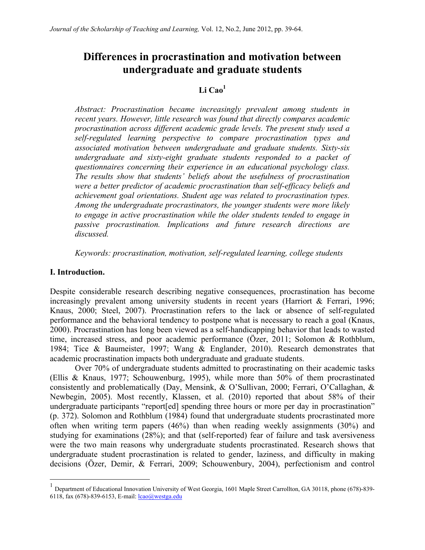# **Differences in procrastination and motivation between undergraduate and graduate students**

# Li Cao<sup>1</sup>

*Abstract: Procrastination became increasingly prevalent among students in recent years. However, little research was found that directly compares academic procrastination across different academic grade levels. The present study used a self-regulated learning perspective to compare procrastination types and associated motivation between undergraduate and graduate students. Sixty-six undergraduate and sixty-eight graduate students responded to a packet of questionnaires concerning their experience in an educational psychology class. The results show that students' beliefs about the usefulness of procrastination were a better predictor of academic procrastination than self-efficacy beliefs and achievement goal orientations. Student age was related to procrastination types. Among the undergraduate procrastinators, the younger students were more likely to engage in active procrastination while the older students tended to engage in passive procrastination. Implications and future research directions are discussed.*

*Keywords: procrastination, motivation, self-regulated learning, college students*

### **I. Introduction.**

Despite considerable research describing negative consequences, procrastination has become increasingly prevalent among university students in recent years (Harriort & Ferrari, 1996; Knaus, 2000; Steel, 2007). Procrastination refers to the lack or absence of self-regulated performance and the behavioral tendency to postpone what is necessary to reach a goal (Knaus, 2000). Procrastination has long been viewed as a self-handicapping behavior that leads to wasted time, increased stress, and poor academic performance (Özer, 2011; Solomon & Rothblum, 1984; Tice & Baumeister, 1997; Wang & Englander, 2010). Research demonstrates that academic procrastination impacts both undergraduate and graduate students.

Over 70% of undergraduate students admitted to procrastinating on their academic tasks (Ellis & Knaus, 1977; Schouwenburg, 1995), while more than 50% of them procrastinated consistently and problematically (Day, Mensink, & O'Sullivan, 2000; Ferrari, O'Callaghan, & Newbegin, 2005). Most recently, Klassen, et al. (2010) reported that about 58% of their undergraduate participants "report[ed] spending three hours or more per day in procrastination" (p. 372). Solomon and Rothblum (1984) found that undergraduate students procrastinated more often when writing term papers (46%) than when reading weekly assignments (30%) and studying for examinations (28%); and that (self-reported) fear of failure and task aversiveness were the two main reasons why undergraduate students procrastinated. Research shows that undergraduate student procrastination is related to gender, laziness, and difficulty in making decisions (Özer, Demir, & Ferrari, 2009; Schouwenbury, 2004), perfectionism and control

 <sup>1</sup> Department of Educational Innovation University of West Georgia, 1601 Maple Street Carrollton, GA 30118, phone (678)-839- 6118, fax (678)-839-6153, E-mail:  $lcao@westga.edu$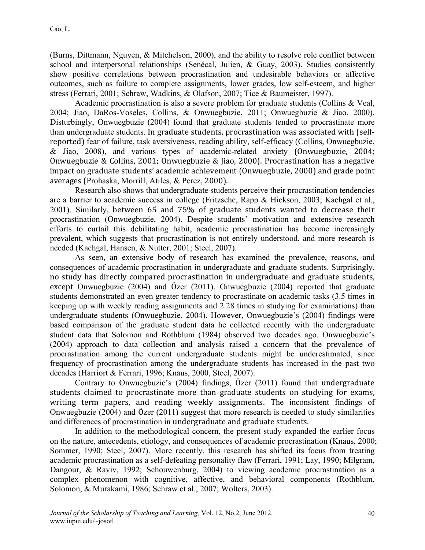(Burns, Dittmann, Nguyen, & Mitchelson, 2000), and the ability to resolve role conflict between school and interpersonal relationships (Senécal, Julien, & Guay, 2003). Studies consistently show positive correlations between procrastination and undesirable behaviors or affective outcomes, such as failure to complete assignments, lower grades, low self-esteem, and higher stress (Ferrari, 2001; Schraw, Wadkins, & Olafson, 2007; Tice & Baumeister, 1997).

Academic procrastination is also a severe problem for graduate students (Collins & Veal, 2004; Jiao, DaRos-Voseles, Collins, & Onwuegbuzie, 2011; Onwuegbuzie & Jiao, 2000). Disturbingly, Onwuegbuzie (2004) found that graduate students tended to procrastinate more than undergraduate students. In graduate students, procrastination was associated with (selfreported) fear of failure, task aversiveness, reading ability, self-efficacy (Collins, Onwuegbuzie, & Jiao, 2008), and various types of academic-related anxiety (Onwuegbuzie, 2004; Onwuegbuzie & Collins, 2001; Onwuegbuzie & Jiao, 2000). Procrastination has a negative impact on graduate students' academic achievement (Onwuegbuzie, 2000) and grade point averages (Prohaska, Morrill, Atiles, & Perez, 2000).

Research also shows that undergraduate students perceive their procrastination tendencies are a barrier to academic success in college (Fritzsche, Rapp & Hickson, 2003; Kachgal et al., 2001). Similarly, between 65 and 75% of graduate students wanted to decrease their procrastination (Onwuegbuzie, 2004). Despite students' motivation and extensive research efforts to curtail this debilitating habit, academic procrastination has become increasingly prevalent, which suggests that procrastination is not entirely understood, and more research is needed (Kachgal, Hansen, & Nutter, 2001; Steel, 2007).

As seen, an extensive body of research has examined the prevalence, reasons, and consequences of academic procrastination in undergraduate and graduate students. Surprisingly, no study has directly compared procrastination in undergraduate and graduate students, except Onwuegbuzie (2004) and Özer (2011). Onwuegbuzie (2004) reported that graduate students demonstrated an even greater tendency to procrastinate on academic tasks (3.5 times in keeping up with weekly reading assignments and 2.28 times in studying for examinations) than undergraduate students (Onwuegbuzie, 2004). However, Onwuegbuzie's (2004) findings were based comparison of the graduate student data he collected recently with the undergraduate student data that Solomon and Rothblum (1984) observed two decades ago. Onwuegbuzie's (2004) approach to data collection and analysis raised a concern that the prevalence of procrastination among the current undergraduate students might be underestimated, since frequency of procrastination among the undergraduate students has increased in the past two decades (Harriort & Ferrari, 1996; Knaus, 2000, Steel, 2007).

Contrary to Onwuegbuzie's (2004) findings, Özer (2011) found that undergraduate students claimed to procrastinate more than graduate students on studying for exams, writing term papers, and reading weekly assignments. The inconsistent findings of Onwuegbuzie (2004) and Özer (2011) suggest that more research is needed to study similarities and differences of procrastination in undergraduate and graduate students.

In addition to the methodological concern, the present study expanded the earlier focus on the nature, antecedents, etiology, and consequences of academic procrastination (Knaus, 2000; Sommer, 1990; Steel, 2007). More recently, this research has shifted its focus from treating academic procrastination as a self-defeating personality flaw (Ferrari, 1991; Lay, 1990; Milgram, Dangour, & Raviv, 1992; Schouwenburg, 2004) to viewing academic procrastination as a complex phenomenon with cognitive, affective, and behavioral components (Rothblum, Solomon, & Murakami, 1986; Schraw et al., 2007; Wolters, 2003).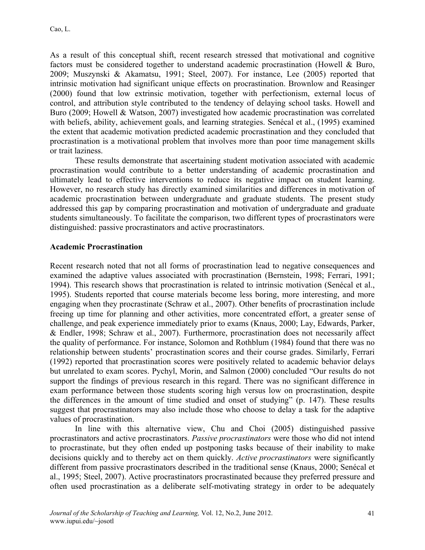As a result of this conceptual shift, recent research stressed that motivational and cognitive factors must be considered together to understand academic procrastination (Howell & Buro, 2009; Muszynski & Akamatsu, 1991; Steel, 2007). For instance, Lee (2005) reported that intrinsic motivation had significant unique effects on procrastination. Brownlow and Reasinger (2000) found that low extrinsic motivation, together with perfectionism, external locus of control, and attribution style contributed to the tendency of delaying school tasks. Howell and Buro (2009; Howell & Watson, 2007) investigated how academic procrastination was correlated with beliefs, ability, achievement goals, and learning strategies. Senécal et al., (1995) examined the extent that academic motivation predicted academic procrastination and they concluded that procrastination is a motivational problem that involves more than poor time management skills or trait laziness.

These results demonstrate that ascertaining student motivation associated with academic procrastination would contribute to a better understanding of academic procrastination and ultimately lead to effective interventions to reduce its negative impact on student learning. However, no research study has directly examined similarities and differences in motivation of academic procrastination between undergraduate and graduate students. The present study addressed this gap by comparing procrastination and motivation of undergraduate and graduate students simultaneously. To facilitate the comparison, two different types of procrastinators were distinguished: passive procrastinators and active procrastinators.

### **Academic Procrastination**

Recent research noted that not all forms of procrastination lead to negative consequences and examined the adaptive values associated with procrastination (Bernstein, 1998; Ferrari, 1991; 1994). This research shows that procrastination is related to intrinsic motivation (Senécal et al., 1995). Students reported that course materials become less boring, more interesting, and more engaging when they procrastinate (Schraw et al., 2007). Other benefits of procrastination include freeing up time for planning and other activities, more concentrated effort, a greater sense of challenge, and peak experience immediately prior to exams (Knaus, 2000; Lay, Edwards, Parker, & Endler, 1998; Schraw et al., 2007). Furthermore, procrastination does not necessarily affect the quality of performance. For instance, Solomon and Rothblum (1984) found that there was no relationship between students' procrastination scores and their course grades. Similarly, Ferrari (1992) reported that procrastination scores were positively related to academic behavior delays but unrelated to exam scores. Pychyl, Morin, and Salmon (2000) concluded "Our results do not support the findings of previous research in this regard. There was no significant difference in exam performance between those students scoring high versus low on procrastination, despite the differences in the amount of time studied and onset of studying" (p. 147). These results suggest that procrastinators may also include those who choose to delay a task for the adaptive values of procrastination.

In line with this alternative view, Chu and Choi (2005) distinguished passive procrastinators and active procrastinators. *Passive procrastinators* were those who did not intend to procrastinate, but they often ended up postponing tasks because of their inability to make decisions quickly and to thereby act on them quickly. *Active procrastinators* were significantly different from passive procrastinators described in the traditional sense (Knaus, 2000; Senécal et al., 1995; Steel, 2007). Active procrastinators procrastinated because they preferred pressure and often used procrastination as a deliberate self-motivating strategy in order to be adequately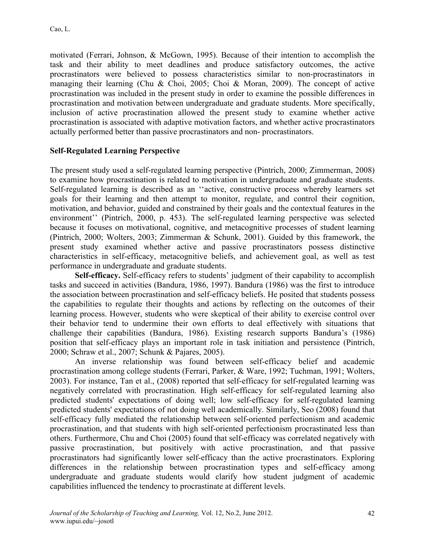motivated (Ferrari, Johnson, & McGown, 1995). Because of their intention to accomplish the task and their ability to meet deadlines and produce satisfactory outcomes, the active procrastinators were believed to possess characteristics similar to non-procrastinators in managing their learning (Chu & Choi, 2005; Choi & Moran, 2009). The concept of active procrastination was included in the present study in order to examine the possible differences in procrastination and motivation between undergraduate and graduate students. More specifically, inclusion of active procrastination allowed the present study to examine whether active procrastination is associated with adaptive motivation factors, and whether active procrastinators actually performed better than passive procrastinators and non- procrastinators.

### **Self-Regulated Learning Perspective**

The present study used a self-regulated learning perspective (Pintrich, 2000; Zimmerman, 2008) to examine how procrastination is related to motivation in undergraduate and graduate students. Self-regulated learning is described as an ''active, constructive process whereby learners set goals for their learning and then attempt to monitor, regulate, and control their cognition, motivation, and behavior, guided and constrained by their goals and the contextual features in the environment'' (Pintrich, 2000, p. 453). The self-regulated learning perspective was selected because it focuses on motivational, cognitive, and metacognitive processes of student learning (Pintrich, 2000; Wolters, 2003; Zimmerman & Schunk, 2001). Guided by this framework, the present study examined whether active and passive procrastinators possess distinctive characteristics in self-efficacy, metacognitive beliefs, and achievement goal, as well as test performance in undergraduate and graduate students.

**Self-efficacy.** Self-efficacy refers to students' judgment of their capability to accomplish tasks and succeed in activities (Bandura, 1986, 1997). Bandura (1986) was the first to introduce the association between procrastination and self-efficacy beliefs. He posited that students possess the capabilities to regulate their thoughts and actions by reflecting on the outcomes of their learning process. However, students who were skeptical of their ability to exercise control over their behavior tend to undermine their own efforts to deal effectively with situations that challenge their capabilities (Bandura, 1986). Existing research supports Bandura's (1986) position that self-efficacy plays an important role in task initiation and persistence (Pintrich, 2000; Schraw et al., 2007; Schunk & Pajares, 2005).

An inverse relationship was found between self-efficacy belief and academic procrastination among college students (Ferrari, Parker, & Ware, 1992; Tuchman, 1991; Wolters, 2003). For instance, Tan et al., (2008) reported that self-efficacy for self-regulated learning was negatively correlated with procrastination. High self-efficacy for self-regulated learning also predicted students' expectations of doing well; low self-efficacy for self-regulated learning predicted students' expectations of not doing well academically. Similarly, Seo (2008) found that self-efficacy fully mediated the relationship between self-oriented perfectionism and academic procrastination, and that students with high self-oriented perfectionism procrastinated less than others. Furthermore, Chu and Choi (2005) found that self-efficacy was correlated negatively with passive procrastination, but positively with active procrastination, and that passive procrastinators had significantly lower self-efficacy than the active procrastinators. Exploring differences in the relationship between procrastination types and self-efficacy among undergraduate and graduate students would clarify how student judgment of academic capabilities influenced the tendency to procrastinate at different levels.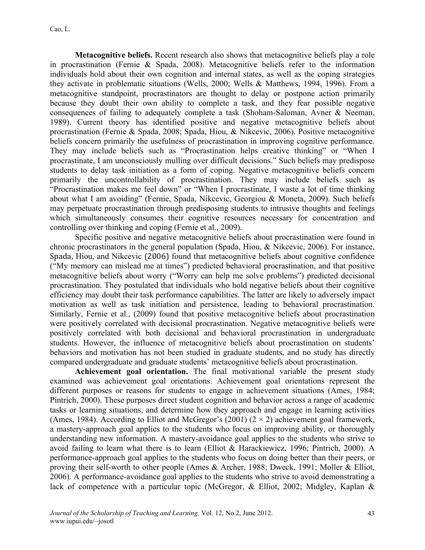**Metacognitive beliefs.** Recent research also shows that metacognitive beliefs play a role in procrastination (Fernie & Spada, 2008). Metacognitive beliefs refer to the information individuals hold about their own cognition and internal states, as well as the coping strategies they activate in problematic situations (Wells, 2000; Wells & Matthews, 1994, 1996). From a metacognitive standpoint, procrastinators are thought to delay or postpone action primarily because they doubt their own ability to complete a task, and they fear possible negative consequences of failing to adequately complete a task (Shoham-Saloman, Avner & Neeman, 1989). Current theory has identified positive and negative metacognitive beliefs about procrastination (Fernie & Spada, 2008; Spada, Hiou, & Nikcevic, 2006). Positive metacognitive beliefs concern primarily the usefulness of procrastination in improving cognitive performance. They may include beliefs such as "Procrastination helps creative thinking" or "When I procrastinate, I am unconsciously mulling over difficult decisions." Such beliefs may predispose students to delay task initiation as a form of coping. Negative metacognitive beliefs concern primarily the uncontrollability of procrastination. They may include beliefs such as "Procrastination makes me feel down" or "When I procrastinate, I waste a lot of time thinking about what I am avoiding" (Fernie, Spada, Nikcevic, Georgiou & Moneta, 2009). Such beliefs may perpetuate procrastination through predisposing students to intrusive thoughts and feelings which simultaneously consumes their cognitive resources necessary for concentration and controlling over thinking and coping (Fernie et al., 2009).

Specific positive and negative metacognitive beliefs about procrastination were found in chronic procrastinators in the general population (Spada, Hiou, & Nikcevic, 2006). For instance, Spada, Hiou, and Nikcevic (2006) found that metacognitive beliefs about cognitive confidence ("My memory can mislead me at times") predicted behavioral procrastination, and that positive metacognitive beliefs about worry ("Worry can help me solve problems") predicted decisional procrastination. They postulated that individuals who hold negative beliefs about their cognitive efficiency may doubt their task performance capabilities. The latter are likely to adversely impact motivation as well as task initiation and persistence, leading to behavioral procrastination. Similarly, Fernie et al., (2009) found that positive metacognitive beliefs about procrastination were positively correlated with decisional procrastination. Negative metacognitive beliefs were positively correlated with both decisional and behavioral procrastination in undergraduate students. However, the influence of metacognitive beliefs about procrastination on students' behaviors and motivation has not been studied in graduate students, and no study has directly compared undergraduate and graduate students' metacognitive beliefs about procrastination.

**Achievement goal orientation.** The final motivational variable the present study examined was achievement goal orientations. Achievement goal orientations represent the different purposes or reasons for students to engage in achievement situations (Ames, 1984; Pintrich, 2000). These purposes direct student cognition and behavior across a range of academic tasks or learning situations, and determine how they approach and engage in learning activities (Ames, 1984). According to Elliot and McGregor's (2001) ( $2 \times 2$ ) achievement goal framework, a mastery-approach goal applies to the students who focus on improving ability, or thoroughly understanding new information. A mastery-avoidance goal applies to the students who strive to avoid failing to learn what there is to learn (Elliot & Harackiewicz, 1996; Pintrich, 2000). A performance-approach goal applies to the students who focus on doing better than their peers, or proving their self-worth to other people (Ames & Archer, 1988; Dweck, 1991; Moller & Elliot, 2006). A performance-avoidance goal applies to the students who strive to avoid demonstrating a lack of competence with a particular topic (McGregor, & Elliot, 2002; Midgley, Kaplan &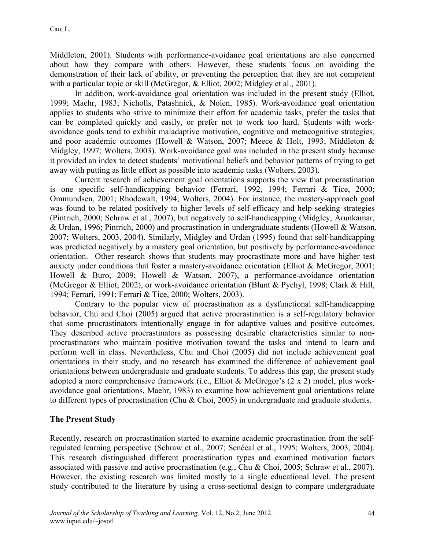Middleton, 2001). Students with performance-avoidance goal orientations are also concerned about how they compare with others. However, these students focus on avoiding the demonstration of their lack of ability, or preventing the perception that they are not competent with a particular topic or skill (McGregor, & Elliot, 2002; Midgley et al., 2001).

In addition, work-avoidance goal orientation was included in the present study (Elliot, 1999; Maehr, 1983; Nicholls, Patashnick, & Nolen, 1985). Work-avoidance goal orientation applies to students who strive to minimize their effort for academic tasks, prefer the tasks that can be completed quickly and easily, or prefer not to work too hard. Students with workavoidance goals tend to exhibit maladaptive motivation, cognitive and metacognitive strategies, and poor academic outcomes (Howell & Watson, 2007; Meece & Holt, 1993; Middleton & Midgley, 1997; Wolters, 2003). Work-avoidance goal was included in the present study because it provided an index to detect students' motivational beliefs and behavior patterns of trying to get away with putting as little effort as possible into academic tasks (Wolters, 2003).

Current research of achievement goal orientations supports the view that procrastination is one specific self-handicapping behavior (Ferrari, 1992, 1994; Ferrari & Tice, 2000; Ommundsen, 2001; Rhodewalt, 1994; Wolters, 2004). For instance, the mastery-approach goal was found to be related positively to higher levels of self-efficacy and help-seeking strategies (Pintrich, 2000; Schraw et al., 2007), but negatively to self-handicapping (Midgley, Arunkamar, & Urdan, 1996; Pintrich, 2000) and procrastination in undergraduate students (Howell & Watson, 2007; Wolters, 2003, 2004). Similarly, Midgley and Urdan (1995) found that self-handicapping was predicted negatively by a mastery goal orientation, but positively by performance-avoidance orientation. Other research shows that students may procrastinate more and have higher test anxiety under conditions that foster a mastery-avoidance orientation (Elliot & McGregor, 2001; Howell & Buro, 2009; Howell & Watson, 2007), a performance-avoidance orientation (McGregor & Elliot, 2002), or work-avoidance orientation (Blunt & Pychyl, 1998; Clark & Hill, 1994; Ferrari, 1991; Ferrari & Tice, 2000; Wolters, 2003).

Contrary to the popular view of procrastination as a dysfunctional self-handicapping behavior, Chu and Choi (2005) argued that active procrastination is a self-regulatory behavior that some procrastinators intentionally engage in for adaptive values and positive outcomes. They described active procrastinators as possessing desirable characteristics similar to nonprocrastinators who maintain positive motivation toward the tasks and intend to learn and perform well in class. Nevertheless, Chu and Choi (2005) did not include achievement goal orientations in their study, and no research has examined the difference of achievement goal orientations between undergraduate and graduate students. To address this gap, the present study adopted a more comprehensive framework (i.e., Elliot & McGregor's (2 x 2) model, plus workavoidance goal orientations, Maehr, 1983) to examine how achievement goal orientations relate to different types of procrastination (Chu & Choi, 2005) in undergraduate and graduate students.

### **The Present Study**

Recently, research on procrastination started to examine academic procrastination from the selfregulated learning perspective (Schraw et al., 2007; Senécal et al., 1995; Wolters, 2003, 2004). This research distinguished different procrastination types and examined motivation factors associated with passive and active procrastination (e.g., Chu & Choi, 2005; Schraw et al., 2007). However, the existing research was limited mostly to a single educational level. The present study contributed to the literature by using a cross-sectional design to compare undergraduate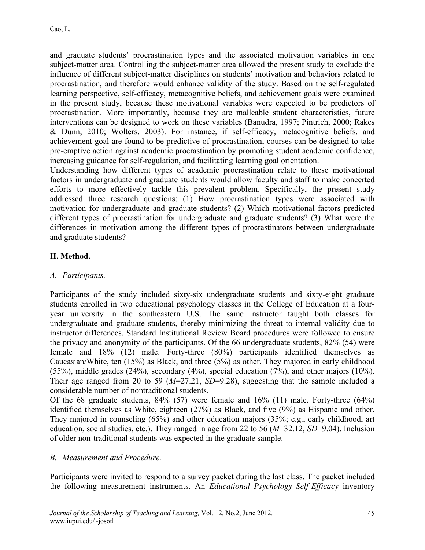and graduate students' procrastination types and the associated motivation variables in one subject-matter area. Controlling the subject-matter area allowed the present study to exclude the influence of different subject-matter disciplines on students' motivation and behaviors related to procrastination, and therefore would enhance validity of the study. Based on the self-regulated learning perspective, self-efficacy, metacognitive beliefs, and achievement goals were examined in the present study, because these motivational variables were expected to be predictors of procrastination. More importantly, because they are malleable student characteristics, future interventions can be designed to work on these variables (Banudra, 1997; Pintrich, 2000; Rakes & Dunn, 2010; Wolters, 2003). For instance, if self-efficacy, metacognitive beliefs, and achievement goal are found to be predictive of procrastination, courses can be designed to take pre-emptive action against academic procrastination by promoting student academic confidence, increasing guidance for self-regulation, and facilitating learning goal orientation.

Understanding how different types of academic procrastination relate to these motivational factors in undergraduate and graduate students would allow faculty and staff to make concerted efforts to more effectively tackle this prevalent problem. Specifically, the present study addressed three research questions: (1) How procrastination types were associated with motivation for undergraduate and graduate students? (2) Which motivational factors predicted different types of procrastination for undergraduate and graduate students? (3) What were the differences in motivation among the different types of procrastinators between undergraduate and graduate students?

# **II. Method.**

# *A. Participants.*

Participants of the study included sixty-six undergraduate students and sixty-eight graduate students enrolled in two educational psychology classes in the College of Education at a fouryear university in the southeastern U.S. The same instructor taught both classes for undergraduate and graduate students, thereby minimizing the threat to internal validity due to instructor differences. Standard Institutional Review Board procedures were followed to ensure the privacy and anonymity of the participants. Of the 66 undergraduate students, 82% (54) were female and 18% (12) male. Forty-three (80%) participants identified themselves as Caucasian/White, ten (15%) as Black, and three (5%) as other. They majored in early childhood (55%), middle grades (24%), secondary (4%), special education (7%), and other majors (10%). Their age ranged from 20 to 59 ( $M=27.21$ ,  $SD=9.28$ ), suggesting that the sample included a considerable number of nontraditional students.

Of the 68 graduate students, 84% (57) were female and 16% (11) male. Forty-three (64%) identified themselves as White, eighteen (27%) as Black, and five (9%) as Hispanic and other. They majored in counseling (65%) and other education majors (35%; e.g., early childhood, art education, social studies, etc.). They ranged in age from 22 to 56 (*M*=32.12, *SD*=9.04). Inclusion of older non-traditional students was expected in the graduate sample.

# *B. Measurement and Procedure.*

Participants were invited to respond to a survey packet during the last class. The packet included the following measurement instruments. An *Educational Psychology Self-Efficacy* inventory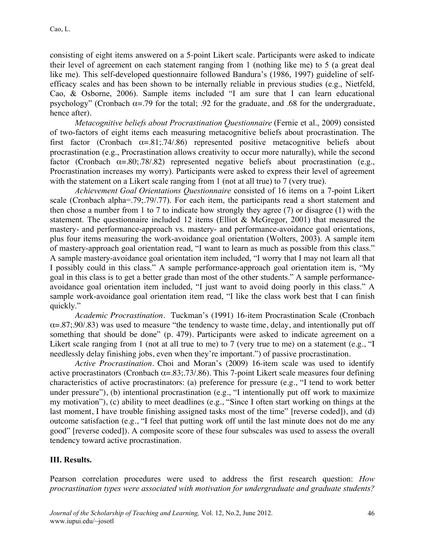consisting of eight items answered on a 5-point Likert scale. Participants were asked to indicate their level of agreement on each statement ranging from 1 (nothing like me) to 5 (a great deal like me). This self-developed questionnaire followed Bandura's (1986, 1997) guideline of selfefficacy scales and has been shown to be internally reliable in previous studies (e.g., Nietfeld, Cao, & Osborne, 2006). Sample items included "I am sure that I can learn educational psychology" (Cronbach  $\alpha = .79$  for the total; .92 for the graduate, and .68 for the undergraduate, hence after).

*Metacognitive beliefs about Procrastination Questionnaire* (Fernie et al., 2009) consisted of two-factors of eight items each measuring metacognitive beliefs about procrastination. The first factor (Cronbach  $\alpha = .81$ ; 74/.86) represented positive metacognitive beliefs about procrastination (e.g., Procrastination allows creativity to occur more naturally), while the second factor (Cronbach  $\alpha = .80; .78/.82$ ) represented negative beliefs about procrastination (e.g., Procrastination increases my worry). Participants were asked to express their level of agreement with the statement on a Likert scale ranging from 1 (not at all true) to 7 (very true).

*Achievement Goal Orientations Questionnaire* consisted of 16 items on a 7-point Likert scale (Cronbach alpha=.79;.79/.77). For each item, the participants read a short statement and then chose a number from 1 to 7 to indicate how strongly they agree (7) or disagree (1) with the statement. The questionnaire included 12 items (Elliot & McGregor, 2001) that measured the mastery- and performance-approach vs. mastery- and performance-avoidance goal orientations, plus four items measuring the work-avoidance goal orientation (Wolters, 2003). A sample item of mastery-approach goal orientation read, "I want to learn as much as possible from this class." A sample mastery-avoidance goal orientation item included, "I worry that I may not learn all that I possibly could in this class." A sample performance-approach goal orientation item is, "My goal in this class is to get a better grade than most of the other students." A sample performanceavoidance goal orientation item included, "I just want to avoid doing poorly in this class." A sample work-avoidance goal orientation item read, "I like the class work best that I can finish quickly."

*Academic Procrastination*. Tuckman's (1991) 16-item Procrastination Scale (Cronbach  $\alpha = 0.87$ ; 90/.83) was used to measure "the tendency to waste time, delay, and intentionally put off something that should be done" (p. 479). Participants were asked to indicate agreement on a Likert scale ranging from 1 (not at all true to me) to 7 (very true to me) on a statement (e.g., "I needlessly delay finishing jobs, even when they're important.") of passive procrastination.

*Active Procrastination.* Choi and Moran's (2009) 16-item scale was used to identify active procrastinators (Cronbach  $\alpha = 0.83$ ; 73/.86). This 7-point Likert scale measures four defining characteristics of active procrastinators: (a) preference for pressure (e.g., "I tend to work better under pressure"), (b) intentional procrastination (e.g., "I intentionally put off work to maximize my motivation"), (c) ability to meet deadlines (e.g., "Since I often start working on things at the last moment, I have trouble finishing assigned tasks most of the time" [reverse coded]), and (d) outcome satisfaction (e.g., "I feel that putting work off until the last minute does not do me any good" [reverse coded]). A composite score of these four subscales was used to assess the overall tendency toward active procrastination.

### **III. Results.**

Pearson correlation procedures were used to address the first research question: *How procrastination types were associated with motivation for undergraduate and graduate students?*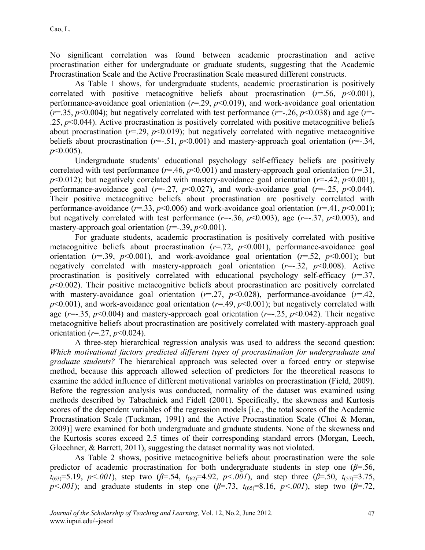No significant correlation was found between academic procrastination and active procrastination either for undergraduate or graduate students, suggesting that the Academic Procrastination Scale and the Active Procrastination Scale measured different constructs.

As Table 1 shows, for undergraduate students, academic procrastination is positively correlated with positive metacognitive beliefs about procrastination  $(r=56, p<0.001)$ , performance-avoidance goal orientation (*r*=.29, *p*<0.019), and work-avoidance goal orientation ( $r=0.35$ ,  $p<0.004$ ); but negatively correlated with test performance ( $r=-26$ ,  $p<0.038$ ) and age ( $r=-$ .25, *p*<0.044). Active procrastination is positively correlated with positive metacognitive beliefs about procrastination  $(r=29, p<0.019)$ ; but negatively correlated with negative metacognitive beliefs about procrastination ( $r = -0.51$ ,  $p < 0.001$ ) and mastery-approach goal orientation ( $r = -0.34$ , *p*<0.005).

Undergraduate students' educational psychology self-efficacy beliefs are positively correlated with test performance ( $r=46$ ,  $p<0.001$ ) and mastery-approach goal orientation ( $r=31$ ,  $p$ <0.012); but negatively correlated with mastery-avoidance goal orientation ( $r=42$ ,  $p$ <0.001), performance-avoidance goal  $(r=-.27, p<0.027)$ , and work-avoidance goal  $(r=-.25, p<0.044)$ . Their positive metacognitive beliefs about procrastination are positively correlated with performance-avoidance ( $r=33$ ,  $p<0.006$ ) and work-avoidance goal orientation ( $r=41$ ,  $p<0.001$ ); but negatively correlated with test performance  $(r=.36, p<0.003)$ , age  $(r=.37, p<0.003)$ , and mastery-approach goal orientation ( $r = -1.39$ ,  $p < 0.001$ ).

For graduate students, academic procrastination is positively correlated with positive metacognitive beliefs about procrastination (*r*=.72, *p*<0.001), performance-avoidance goal orientation ( $r=0.39$ ,  $p<0.001$ ), and work-avoidance goal orientation ( $r=0.52$ ,  $p<0.001$ ); but negatively correlated with mastery-approach goal orientation  $(r=.32, p<0.008)$ . Active procrastination is positively correlated with educational psychology self-efficacy (*r*=.37,  $p$ <0.002). Their positive metacognitive beliefs about procrastination are positively correlated with mastery-avoidance goal orientation  $(r=.27, p<0.028)$ , performance-avoidance  $(r=.42, p<0.028)$  $p$ <0.001), and work-avoidance goal orientation ( $r=$ .49,  $p$ <0.001); but negatively correlated with age ( $r = -0.35$ ,  $p < 0.004$ ) and mastery-approach goal orientation ( $r = -0.25$ ,  $p < 0.042$ ). Their negative metacognitive beliefs about procrastination are positively correlated with mastery-approach goal orientation (*r*=.27, *p*<0.024).

A three-step hierarchical regression analysis was used to address the second question: *Which motivational factors predicted different types of procrastination for undergraduate and graduate students?* The hierarchical approach was selected over a forced entry or stepwise method, because this approach allowed selection of predictors for the theoretical reasons to examine the added influence of different motivational variables on procrastination (Field, 2009). Before the regression analysis was conducted, normality of the dataset was examined using methods described by Tabachnick and Fidell (2001). Specifically, the skewness and Kurtosis scores of the dependent variables of the regression models [i.e., the total scores of the Academic Procrastination Scale (Tuckman, 1991) and the Active Procrastination Scale (Choi & Moran, 2009)] were examined for both undergraduate and graduate students. None of the skewness and the Kurtosis scores exceed 2.5 times of their corresponding standard errors (Morgan, Leech, Gloechner, & Barrett, 2011), suggesting the dataset normality was not violated.

As Table 2 shows, positive metacognitive beliefs about procrastination were the sole predictor of academic procrastination for both undergraduate students in step one (*β*=.56,  $t_{(63)}=5.19$ , *p*<.001), step two ( $\beta$ =.54,  $t_{(62)}=4.92$ , *p*<.001), and step three ( $\beta$ =.50,  $t_{(57)}=3.75$ , *p<.001*); and graduate students in step one (*β*=.73, *t*(65)=8.16, *p<.001*), step two (*β*=.72,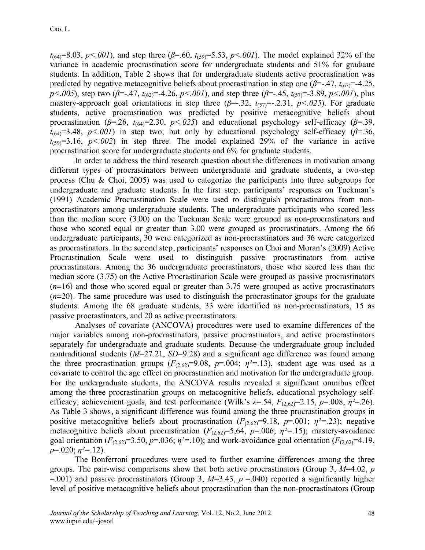$t_{(64)}=8.03$ ,  $p<.001$ ), and step three ( $\beta$ =.60,  $t_{(59)}=5.53$ ,  $p<.001$ ). The model explained 32% of the variance in academic procrastination score for undergraduate students and 51% for graduate students. In addition, Table 2 shows that for undergraduate students active procrastination was predicted by negative metacognitive beliefs about procrastination in step one  $(\beta = -47, t_{(63)} = -4.25,$ *p*<.005), step two ( $\beta$ =-.47,  $t_{(62)}$ =-4.26, *p*<.001), and step three ( $\beta$ =-.45,  $t_{(57)}$ =-3.89, *p*<.001), plus mastery-approach goal orientations in step three  $(\beta = .32, t_{(57)} = .2.31, p < .025)$ . For graduate students, active procrastination was predicted by positive metacognitive beliefs about procrastination ( $\beta$ =.26,  $t_{(64)}$ =2.30,  $p$ <.025) and educational psychology self-efficacy ( $\beta$ =.39,  $t_{(64)}=3.48$ ,  $p<.001$ ) in step two; but only by educational psychology self-efficacy ( $\beta$ =.36,  $t_{(59)}=3.16$ ,  $p<.002$ ) in step three. The model explained 29% of the variance in active procrastination score for undergraduate students and 6% for graduate students.

In order to address the third research question about the differences in motivation among different types of procrastinators between undergraduate and graduate students, a two-step process (Chu & Choi, 2005) was used to categorize the participants into three subgroups for undergraduate and graduate students. In the first step, participants' responses on Tuckman's (1991) Academic Procrastination Scale were used to distinguish procrastinators from nonprocrastinators among undergraduate students. The undergraduate participants who scored less than the median score (3.00) on the Tuckman Scale were grouped as non-procrastinators and those who scored equal or greater than 3.00 were grouped as procrastinators. Among the 66 undergraduate participants, 30 were categorized as non-procrastinators and 36 were categorized as procrastinators. In the second step, participants' responses on Choi and Moran's (2009) Active Procrastination Scale were used to distinguish passive procrastinators from active procrastinators. Among the 36 undergraduate procrastinators, those who scored less than the median score (3.75) on the Active Procrastination Scale were grouped as passive procrastinators (*n*=16) and those who scored equal or greater than 3.75 were grouped as active procrastinators (*n*=20). The same procedure was used to distinguish the procrastinator groups for the graduate students. Among the 68 graduate students, 33 were identified as non-procrastinators, 15 as passive procrastinators, and 20 as active procrastinators.

Analyses of covariate (ANCOVA) procedures were used to examine differences of the major variables among non-procrastinators, passive procrastinators, and active procrastinators separately for undergraduate and graduate students. Because the undergraduate group included nontraditional students (*M*=27.21, *SD*=9.28) and a significant age difference was found among the three procrastination groups  $(F_{(2,62)}=9.08, p=.004; \eta^2=.13)$ , student age was used as a covariate to control the age effect on procrastination and motivation for the undergraduate group. For the undergraduate students, the ANCOVA results revealed a significant omnibus effect among the three procrastination groups on metacognitive beliefs, educational psychology selfefficacy, achievement goals, and test performance (Wilk's  $\lambda = 0.54$ ,  $F_{(2,62)} = 2.15$ ,  $p = 0.008$ ,  $\eta^2 = 0.26$ ). As Table 3 shows, a significant difference was found among the three procrastination groups in positive metacognitive beliefs about procrastination ( $F_{(2,62)}=9.18$ ,  $p=.001$ ;  $\eta^2=.23$ ); negative metacognitive beliefs about procrastination  $(F_{(2,62)}=5,64, p=.006; \eta^2=.15)$ ; mastery-avoidance goal orientation ( $F_{(2,62)}$ =3.50,  $p$ =.036;  $\eta$ <sup>2</sup>=.10); and work-avoidance goal orientation ( $F_{(2,62)}$ =4.19, *p*=.020; *η²=*.12).

The Bonferroni procedures were used to further examine differences among the three groups. The pair-wise comparisons show that both active procrastinators (Group 3, *M*=4.02, *p*   $=$ .001) and passive procrastinators (Group 3, *M*=3.43, *p* = 040) reported a significantly higher level of positive metacognitive beliefs about procrastination than the non-procrastinators (Group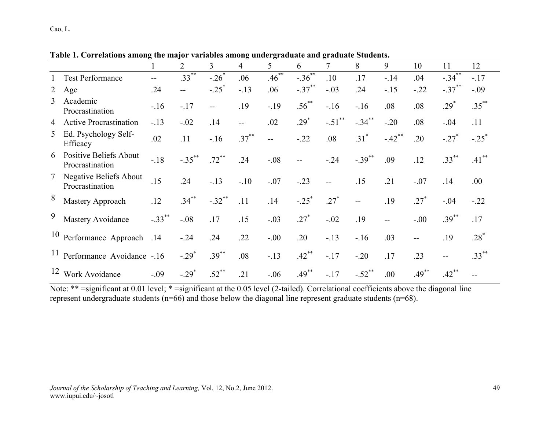|                |                                                  | 1                    | $\overline{2}$      | $\overline{3}$      | $\overline{4}$ | 5                        | 6                    | 7                    | 8                    | 9                    | 10       | 11                   | 12                  |
|----------------|--------------------------------------------------|----------------------|---------------------|---------------------|----------------|--------------------------|----------------------|----------------------|----------------------|----------------------|----------|----------------------|---------------------|
|                | <b>Test Performance</b>                          |                      | $.33***$            | $-.26*$             | .06            | $.46***$                 | $-.36***$            | .10                  | .17                  | $-14$                | .04      | $-.34$ **            | $-.17$              |
| $\overline{2}$ | Age                                              | .24                  | $-$                 | $-.25$ <sup>*</sup> | $-.13$         | .06                      | $-.37$ <sup>**</sup> | $-.03$               | .24                  | $-15$                | $-.22$   | $-.37$ <sup>**</sup> | $-.09$              |
| $\overline{3}$ | Academic<br>Procrastination                      | $-16$                | $-.17$              | $- -$               | .19            | $-19$                    | $.56^{**}$           | $-16$                | $-16$                | .08                  | .08      | $.29*$               | $.35***$            |
| $\overline{4}$ | <b>Active Procrastination</b>                    | $-13$                | $-.02$              | .14                 | $-$            | .02                      | $.29*$               | $-.51$ <sup>**</sup> | $-.34$ **            | $-.20$               | .08      | $-.04$               | .11                 |
| 5              | Ed. Psychology Self-<br>Efficacy                 | .02                  | .11                 | $-16$               | $.37***$       | $\overline{\phantom{a}}$ | $-.22$               | .08                  | $.31^*$              | $-.42$ <sup>**</sup> | .20      | $-.27$               | $-.25$ <sup>*</sup> |
| 6              | <b>Positive Beliefs About</b><br>Procrastination | $-18$                | $-.35***$           | $.72***$            | .24            | $-.08$                   | $\overline{a}$       | $-.24$               | $-.39$ <sup>**</sup> | .09                  | .12      | $.33***$             | $.41***$            |
|                | <b>Negative Beliefs About</b><br>Procrastination | .15                  | .24                 | $-.13$              | $-10$          | $-.07$                   | $-.23$               | $-$                  | .15                  | .21                  | $-.07$   | .14                  | .00                 |
| 8              | Mastery Approach                                 | .12                  | $.34***$            | $-.32$ **           | .11            | .14                      | $-.25$ <sup>*</sup>  | $.27*$               | --                   | .19                  | $.27*$   | $-.04$               | $-.22$              |
| 9              | Mastery Avoidance                                | $-.33$ <sup>**</sup> | $-.08$              | .17                 | .15            | $-.03$                   | $.27*$               | $-.02$               | .19                  | $-$                  | $-.00$   | $.39***$             | .17                 |
| 10             | Performance Approach                             | .14                  | $-0.24$             | .24                 | .22            | $-.00$                   | .20                  | $-13$                | $-16$                | .03                  |          | .19                  | $.28*$              |
| 11             | Performance Avoidance -.16                       |                      | $-.29$ <sup>*</sup> | $.39***$            | .08            | $-.13$                   | $.42***$             | $-.17$               | $-.20$               | .17                  | .23      | $- -$                | $.33***$            |
| 12             | Work Avoidance                                   | $-.09$               | $-.29*$             | $.52***$            | .21            | $-.06$                   | $.49***$             | $-.17$               | $-.52$ <sup>**</sup> | .00.                 | $.49***$ | $.42***$             |                     |

**Table 1. Correlations among the major variables among undergraduate and graduate Students.**

Note: \*\* =significant at 0.01 level; \* =significant at the 0.05 level (2-tailed). Correlational coefficients above the diagonal line represent undergraduate students (n=66) and those below the diagonal line represent graduate students (n=68).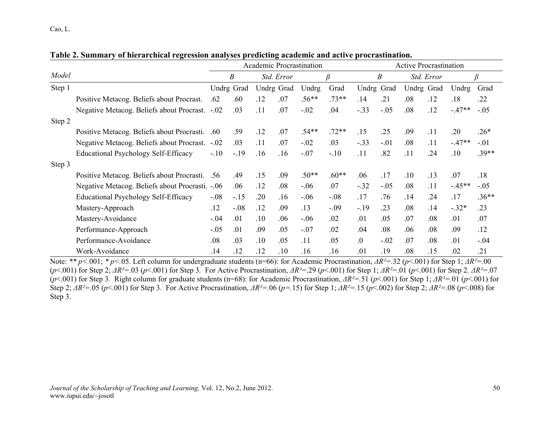|        |                                                 | Academic Procrastination |                |            |            |         | <b>Active Procrastination</b> |                  |        |            |            |          |         |
|--------|-------------------------------------------------|--------------------------|----------------|------------|------------|---------|-------------------------------|------------------|--------|------------|------------|----------|---------|
| Model  |                                                 |                          | B              |            | Std. Error |         | β                             |                  | B      |            | Std. Error |          | β       |
| Step 1 |                                                 | Undrg Grad               |                | Undrg Grad |            | Undrg   | Grad                          | Undrg            | Grad   | Undrg Grad |            | Undrg    | Grad    |
|        | Positive Metacog. Beliefs about Procrast.       | .62                      | .60            | .12        | .07        | $.56**$ | $.73**$                       | .14              | .21    | .08        | .12        | .18      | .22     |
|        | Negative Metacog. Beliefs about Procrast. -.02  |                          | .03            | .11        | .07        | $-.02$  | .04                           | $-.33$           | $-.05$ | .08        | .12        | $-47**$  | $-.05$  |
| Step 2 |                                                 |                          |                |            |            |         |                               |                  |        |            |            |          |         |
|        | Positive Metacog. Beliefs about Procrasti.      | .60 <sub>1</sub>         | .59            | .12        | .07        | $.54**$ | $.72**$                       | .15              | .25    | .09        | .11        | .20      | $.26*$  |
|        | Negative Metacog. Beliefs about Procrast.       | $-.02$                   | .03            | .11        | .07        | $-.02$  | .03                           | $-.33$           | $-.01$ | .08        | .11        | $-47**$  | $-.01$  |
|        | Educational Psychology Self-Efficacy            | $-.10$                   | $-19$          | .16        | .16        | $-.07$  | $-.10$                        | .11              | .82    | .11        | .24        | .10      | $.39**$ |
| Step 3 |                                                 |                          |                |            |            |         |                               |                  |        |            |            |          |         |
|        | Positive Metacog. Beliefs about Procrasti. .56  |                          | .49            | .15        | .09        | $.50**$ | $.60**$                       | .06              | .17    | .10        | .13        | .07      | .18     |
|        | Negative Metacog. Beliefs about Procrasti. -.06 |                          | .06            | .12        | .08        | $-.06$  | .07                           | $-.32$           | $-.05$ | .08        | .11        | $-.45**$ | $-.05$  |
|        | Educational Psychology Self-Efficacy            | $-.08$                   | $-.15$         | .20        | .16        | $-.06$  | $-.08$                        | .17              | .76    | .14        | .24        | .17      | $.36**$ |
|        | Mastery-Approach                                | .12                      | $-.08$         | .12        | .09        | .13     | $-.09$                        | $-19$            | .23    | .08        | .14        | $-.32*$  | .23     |
|        | Mastery-Avoidance                               | $-.04$                   | .01            | .10        | .06        | $-.06$  | .02                           | .01              | .05    | .07        | .08        | .01      | .07     |
|        | Performance-Approach                            | $-.05$                   | .01            | .09        | .05        | $-.07$  | .02                           | .04              | .08    | .06        | .08        | .09      | .12     |
|        | Performance-Avoidance                           | .08                      | 0 <sup>3</sup> | .10        | .05        | .11     | .05                           | $\overline{0}$ . | $-.02$ | .07        | .08        | .01      | $-.04$  |
|        | Work-Avoidance                                  | .14                      | .12            | .12        | .10        | .16     | .16                           | .01              | .19    | .08        | .15        | .02      | .21     |

**Table 2. Summary of hierarchical regression analyses predicting academic and active procrastination.**

Note: *\*\* p<.*001; *\* p<.*05. Left column for undergraduate students (n=66): for Academic Procrastination, *ΔR²=.*32 (*p*<.001) for Step 1; *ΔR²=.*00 ( $p$ <.001) for Step 2;  $\Delta R^2$ =.03 ( $p$ <.001) for Step 3. For Active Procrastination,  $\Delta R^2$ =.29 ( $p$ <.001) for Step 1;  $\Delta R^2$ =.01 ( $p$ <.001) for Step 2.  $\Delta R^2$ =.07 ( $p$ <.001) for Step 3. Right column for graduate students (n=68): for Academic Procrastination,  $AR^2 = .51$  ( $p$ <.001) for Step 1;  $AR^2 = .01$  ( $p$ <.001) for Step 2;  $\Delta R^2 = .05$  (p<.001) for Step 3. For Active Procrastination,  $\Delta R^2 = .06$  (p=.15) for Step 1;  $\Delta R^2 = .15$  (p<.002) for Step 2;  $\Delta R^2 = .08$  (p<.008) for Step 3.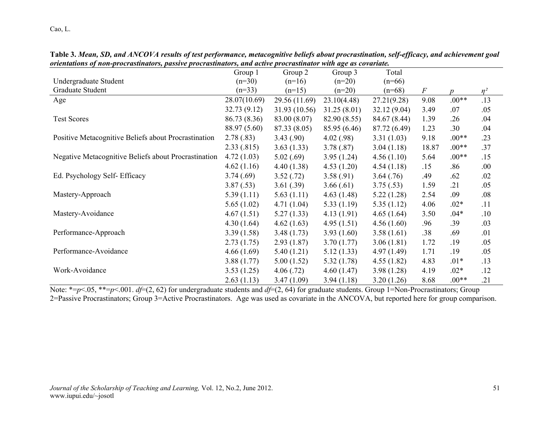|                                                      | Group 1      | Group 2       | Group 3      | Total        |       |         |          |
|------------------------------------------------------|--------------|---------------|--------------|--------------|-------|---------|----------|
| Undergraduate Student                                | $(n=30)$     | $(n=16)$      | $(n=20)$     | $(n=66)$     |       |         |          |
| Graduate Student                                     | $(n=33)$     | $(n=15)$      | $(n=20)$     | $(n=68)$     | $\,F$ | n       | $\eta^2$ |
| Age                                                  | 28.07(10.69) | 29.56 (11.69) | 23.10(4.48)  | 27.21(9.28)  | 9.08  | $.00**$ | .13      |
|                                                      | 32.73 (9.12) | 31.93 (10.56) | 31.25(8.01)  | 32.12(9.04)  | 3.49  | .07     | .05      |
| <b>Test Scores</b>                                   | 86.73 (8.36) | 83.00 (8.07)  | 82.90 (8.55) | 84.67 (8.44) | 1.39  | .26     | .04      |
|                                                      | 88.97 (5.60) | 87.33 (8.05)  | 85.95 (6.46) | 87.72 (6.49) | 1.23  | .30     | .04      |
| Positive Metacognitive Beliefs about Procrastination | 2.78(.83)    | 3.43(.90)     | 4.02(.98)    | 3.31(1.03)   | 9.18  | $.00**$ | .23      |
|                                                      | 2.33(.815)   | 3.63(1.33)    | 3.78(.87)    | 3.04(1.18)   | 18.87 | $.00**$ | .37      |
| Negative Metacognitive Beliefs about Procrastination | 4.72(1.03)   | 5.02(.69)     | 3.95(1.24)   | 4.56(1.10)   | 5.64  | $.00**$ | .15      |
|                                                      | 4.62(1.16)   | 4.40(1.38)    | 4.53(1.20)   | 4.54(1.18)   | .15   | .86     | .00.     |
| Ed. Psychology Self- Efficacy                        | 3.74(.69)    | 3.52(.72)     | 3.58(.91)    | 3.64(.76)    | .49   | .62     | .02      |
|                                                      | 3.87(.53)    | 3.61(.39)     | 3.66(.61)    | 3.75(.53)    | 1.59  | .21     | .05      |
| Mastery-Approach                                     | 5.39(1.11)   | 5.63(1.11)    | 4.63(1.48)   | 5.22(1.28)   | 2.54  | .09     | .08      |
|                                                      | 5.65(1.02)   | 4.71(1.04)    | 5.33(1.19)   | 5.35(1.12)   | 4.06  | $.02*$  | .11      |
| Mastery-Avoidance                                    | 4.67(1.51)   | 5.27(1.33)    | 4.13(1.91)   | 4.65(1.64)   | 3.50  | $.04*$  | .10      |
|                                                      | 4.30(1.64)   | 4.62(1.63)    | 4.95(1.51)   | 4.56(1.60)   | .96   | .39     | .03      |
| Performance-Approach                                 | 3.39(1.58)   | 3.48(1.73)    | 3.93(1.60)   | 3.58(1.61)   | .38   | .69     | .01      |
|                                                      | 2.73(1.75)   | 2.93(1.87)    | 3.70(1.77)   | 3.06(1.81)   | 1.72  | .19     | .05      |
| Performance-Avoidance                                | 4.66(1.69)   | 5.40(1.21)    | 5.12(1.33)   | 4.97(1.49)   | 1.71  | .19     | .05      |
|                                                      | 3.88(1.77)   | 5.00(1.52)    | 5.32(1.78)   | 4.55(1.82)   | 4.83  | $.01*$  | .13      |
| Work-Avoidance                                       | 3.53(1.25)   | 4.06(.72)     | 4.60(1.47)   | 3.98(1.28)   | 4.19  | $.02*$  | .12      |
|                                                      | 2.63(1.13)   | 3.47(1.09)    | 3.94(1.18)   | 3.20(1.26)   | 8.68  | $.00**$ | .21      |

**Table 3.** *Mean, SD, and ANCOVA results of test performance, metacognitive beliefs about procrastination, self-efficacy, and achievement goal orientations of non-procrastinators, passive procrastinators, and active procrastinator with age as covariate.*

Note:  $*=p<.05$ ,  $*=p<.001$ . *df*=(2, 62) for undergraduate students and *df*=(2, 64) for graduate students. Group 1=Non-Procrastinators; Group 2=Passive Procrastinators; Group 3=Active Procrastinators. Age was used as covariate in the ANCOVA, but reported here for group comparison.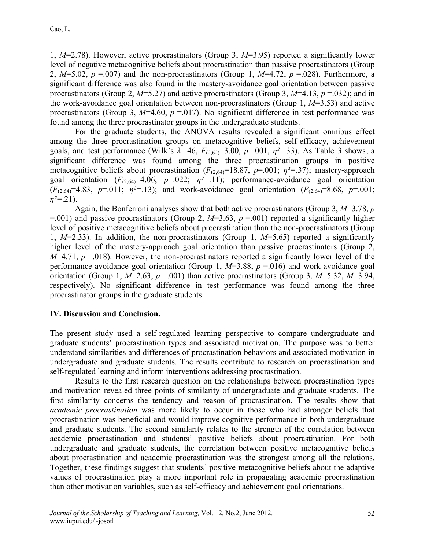1, *M*=2.78). However, active procrastinators (Group 3, *M*=3.95) reported a significantly lower level of negative metacognitive beliefs about procrastination than passive procrastinators (Group 2,  $M=5.02$ ,  $p = .007$ ) and the non-procrastinators (Group 1,  $M=4.72$ ,  $p = .028$ ). Furthermore, a significant difference was also found in the mastery-avoidance goal orientation between passive procrastinators (Group 2, *M*=5.27) and active procrastinators (Group 3, *M*=4.13, *p* =.032); and in the work-avoidance goal orientation between non-procrastinators (Group 1, *M*=3.53) and active procrastinators (Group 3,  $M=4.60$ ,  $p = 0.017$ ). No significant difference in test performance was found among the three procrastinator groups in the undergraduate students.

For the graduate students, the ANOVA results revealed a significant omnibus effect among the three procrastination groups on metacognitive beliefs, self-efficacy, achievement goals, and test performance (Wilk's  $\lambda = .46$ ,  $F_{(2,62)}=3.00$ ,  $p=.001$ ,  $\eta^2=.33$ ). As Table 3 shows, a significant difference was found among the three procrastination groups in positive metacognitive beliefs about procrastination ( $F_{(2,64)}$ =18.87,  $p$ =.001;  $\eta$ <sup>2</sup>=.37); mastery-approach goal orientation  $(F_{(2,64)}=4.06, p=0.022; \eta^2=11)$ ; performance-avoidance goal orientation  $(F_{(2,64)}=4.83, p=0.011; \eta^2=13)$ ; and work-avoidance goal orientation  $(F_{(2,64)}=8.68, p=0.001;$ *η²=*.21).

Again, the Bonferroni analyses show that both active procrastinators (Group 3, *M*=3.78, *p*   $=$ .001) and passive procrastinators (Group 2, *M*=3.63, *p* = 001) reported a significantly higher level of positive metacognitive beliefs about procrastination than the non-procrastinators (Group 1, *M*=2.33). In addition, the non-procrastinators (Group 1, *M*=5.65) reported a significantly higher level of the mastery-approach goal orientation than passive procrastinators (Group 2,  $M=4.71$ ,  $p=0.018$ ). However, the non-procrastinators reported a significantly lower level of the performance-avoidance goal orientation (Group 1, *M*=3.88, *p* =.016) and work-avoidance goal orientation (Group 1,  $M=2.63$ ,  $p = .001$ ) than active procrastinators (Group 3,  $M=5.32$ ,  $M=3.94$ , respectively). No significant difference in test performance was found among the three procrastinator groups in the graduate students.

### **IV. Discussion and Conclusion.**

The present study used a self-regulated learning perspective to compare undergraduate and graduate students' procrastination types and associated motivation. The purpose was to better understand similarities and differences of procrastination behaviors and associated motivation in undergraduate and graduate students. The results contribute to research on procrastination and self-regulated learning and inform interventions addressing procrastination.

Results to the first research question on the relationships between procrastination types and motivation revealed three points of similarity of undergraduate and graduate students. The first similarity concerns the tendency and reason of procrastination. The results show that *academic procrastination* was more likely to occur in those who had stronger beliefs that procrastination was beneficial and would improve cognitive performance in both undergraduate and graduate students. The second similarity relates to the strength of the correlation between academic procrastination and students' positive beliefs about procrastination. For both undergraduate and graduate students, the correlation between positive metacognitive beliefs about procrastination and academic procrastination was the strongest among all the relations. Together, these findings suggest that students' positive metacognitive beliefs about the adaptive values of procrastination play a more important role in propagating academic procrastination than other motivation variables, such as self-efficacy and achievement goal orientations.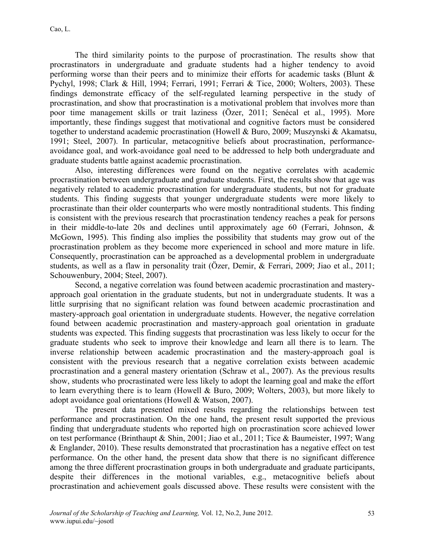The third similarity points to the purpose of procrastination. The results show that procrastinators in undergraduate and graduate students had a higher tendency to avoid performing worse than their peers and to minimize their efforts for academic tasks (Blunt & Pychyl, 1998; Clark & Hill, 1994; Ferrari, 1991; Ferrari & Tice, 2000; Wolters, 2003). These findings demonstrate efficacy of the self-regulated learning perspective in the study of procrastination, and show that procrastination is a motivational problem that involves more than poor time management skills or trait laziness (Özer, 2011; Senécal et al., 1995). More importantly, these findings suggest that motivational and cognitive factors must be considered together to understand academic procrastination (Howell & Buro, 2009; Muszynski & Akamatsu, 1991; Steel, 2007). In particular, metacognitive beliefs about procrastination, performanceavoidance goal, and work-avoidance goal need to be addressed to help both undergraduate and graduate students battle against academic procrastination.

Also, interesting differences were found on the negative correlates with academic procrastination between undergraduate and graduate students. First, the results show that age was negatively related to academic procrastination for undergraduate students, but not for graduate students. This finding suggests that younger undergraduate students were more likely to procrastinate than their older counterparts who were mostly nontraditional students. This finding is consistent with the previous research that procrastination tendency reaches a peak for persons in their middle-to-late 20s and declines until approximately age 60 (Ferrari, Johnson, & McGown, 1995). This finding also implies the possibility that students may grow out of the procrastination problem as they become more experienced in school and more mature in life. Consequently, procrastination can be approached as a developmental problem in undergraduate students, as well as a flaw in personality trait (Özer, Demir, & Ferrari, 2009; Jiao et al., 2011; Schouwenbury, 2004; Steel, 2007).

Second, a negative correlation was found between academic procrastination and masteryapproach goal orientation in the graduate students, but not in undergraduate students. It was a little surprising that no significant relation was found between academic procrastination and mastery-approach goal orientation in undergraduate students. However, the negative correlation found between academic procrastination and mastery-approach goal orientation in graduate students was expected. This finding suggests that procrastination was less likely to occur for the graduate students who seek to improve their knowledge and learn all there is to learn. The inverse relationship between academic procrastination and the mastery-approach goal is consistent with the previous research that a negative correlation exists between academic procrastination and a general mastery orientation (Schraw et al., 2007). As the previous results show, students who procrastinated were less likely to adopt the learning goal and make the effort to learn everything there is to learn (Howell & Buro, 2009; Wolters, 2003), but more likely to adopt avoidance goal orientations (Howell & Watson, 2007).

The present data presented mixed results regarding the relationships between test performance and procrastination. On the one hand, the present result supported the previous finding that undergraduate students who reported high on procrastination score achieved lower on test performance (Brinthaupt & Shin, 2001; Jiao et al., 2011; Tice & Baumeister, 1997; Wang & Englander, 2010). These results demonstrated that procrastination has a negative effect on test performance. On the other hand, the present data show that there is no significant difference among the three different procrastination groups in both undergraduate and graduate participants, despite their differences in the motional variables, e.g., metacognitive beliefs about procrastination and achievement goals discussed above. These results were consistent with the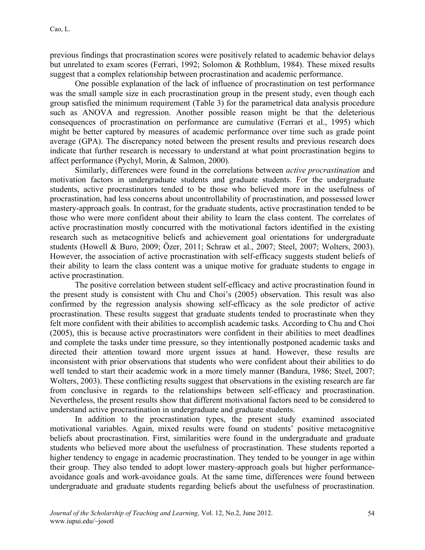previous findings that procrastination scores were positively related to academic behavior delays but unrelated to exam scores (Ferrari, 1992; Solomon & Rothblum, 1984). These mixed results suggest that a complex relationship between procrastination and academic performance.

One possible explanation of the lack of influence of procrastination on test performance was the small sample size in each procrastination group in the present study, even though each group satisfied the minimum requirement (Table 3) for the parametrical data analysis procedure such as ANOVA and regression. Another possible reason might be that the deleterious consequences of procrastination on performance are cumulative (Ferrari et al., 1995) which might be better captured by measures of academic performance over time such as grade point average (GPA). The discrepancy noted between the present results and previous research does indicate that further research is necessary to understand at what point procrastination begins to affect performance (Pychyl, Morin, & Salmon, 2000).

Similarly, differences were found in the correlations between *active procrastination* and motivation factors in undergraduate students and graduate students. For the undergraduate students, active procrastinators tended to be those who believed more in the usefulness of procrastination, had less concerns about uncontrollability of procrastination, and possessed lower mastery-approach goals. In contrast, for the graduate students, active procrastination tended to be those who were more confident about their ability to learn the class content. The correlates of active procrastination mostly concurred with the motivational factors identified in the existing research such as metacognitive beliefs and achievement goal orientations for undergraduate students (Howell & Buro, 2009; Özer, 2011; Schraw et al., 2007; Steel, 2007; Wolters, 2003). However, the association of active procrastination with self-efficacy suggests student beliefs of their ability to learn the class content was a unique motive for graduate students to engage in active procrastination.

The positive correlation between student self-efficacy and active procrastination found in the present study is consistent with Chu and Choi's (2005) observation. This result was also confirmed by the regression analysis showing self-efficacy as the sole predictor of active procrastination. These results suggest that graduate students tended to procrastinate when they felt more confident with their abilities to accomplish academic tasks. According to Chu and Choi (2005), this is because active procrastinators were confident in their abilities to meet deadlines and complete the tasks under time pressure, so they intentionally postponed academic tasks and directed their attention toward more urgent issues at hand. However, these results are inconsistent with prior observations that students who were confident about their abilities to do well tended to start their academic work in a more timely manner (Bandura, 1986; Steel, 2007; Wolters, 2003). These conflicting results suggest that observations in the existing research are far from conclusive in regards to the relationships between self-efficacy and procrastination. Nevertheless, the present results show that different motivational factors need to be considered to understand active procrastination in undergraduate and graduate students.

In addition to the procrastination types, the present study examined associated motivational variables. Again, mixed results were found on students' positive metacognitive beliefs about procrastination. First, similarities were found in the undergraduate and graduate students who believed more about the usefulness of procrastination. These students reported a higher tendency to engage in academic procrastination. They tended to be younger in age within their group. They also tended to adopt lower mastery-approach goals but higher performanceavoidance goals and work-avoidance goals. At the same time, differences were found between undergraduate and graduate students regarding beliefs about the usefulness of procrastination.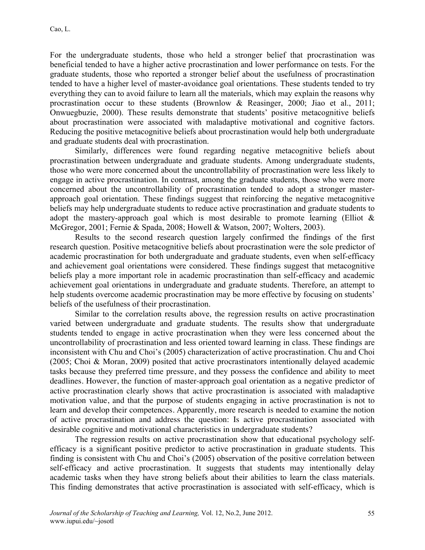For the undergraduate students, those who held a stronger belief that procrastination was beneficial tended to have a higher active procrastination and lower performance on tests. For the graduate students, those who reported a stronger belief about the usefulness of procrastination tended to have a higher level of master-avoidance goal orientations. These students tended to try everything they can to avoid failure to learn all the materials, which may explain the reasons why procrastination occur to these students (Brownlow & Reasinger, 2000; Jiao et al., 2011; Onwuegbuzie, 2000). These results demonstrate that students' positive metacognitive beliefs about procrastination were associated with maladaptive motivational and cognitive factors. Reducing the positive metacognitive beliefs about procrastination would help both undergraduate and graduate students deal with procrastination.

Similarly, differences were found regarding negative metacognitive beliefs about procrastination between undergraduate and graduate students. Among undergraduate students, those who were more concerned about the uncontrollability of procrastination were less likely to engage in active procrastination. In contrast, among the graduate students, those who were more concerned about the uncontrollability of procrastination tended to adopt a stronger masterapproach goal orientation. These findings suggest that reinforcing the negative metacognitive beliefs may help undergraduate students to reduce active procrastination and graduate students to adopt the mastery-approach goal which is most desirable to promote learning (Elliot  $\&$ McGregor, 2001; Fernie & Spada, 2008; Howell & Watson, 2007; Wolters, 2003).

Results to the second research question largely confirmed the findings of the first research question. Positive metacognitive beliefs about procrastination were the sole predictor of academic procrastination for both undergraduate and graduate students, even when self-efficacy and achievement goal orientations were considered. These findings suggest that metacognitive beliefs play a more important role in academic procrastination than self-efficacy and academic achievement goal orientations in undergraduate and graduate students. Therefore, an attempt to help students overcome academic procrastination may be more effective by focusing on students' beliefs of the usefulness of their procrastination.

Similar to the correlation results above, the regression results on active procrastination varied between undergraduate and graduate students. The results show that undergraduate students tended to engage in active procrastination when they were less concerned about the uncontrollability of procrastination and less oriented toward learning in class. These findings are inconsistent with Chu and Choi's (2005) characterization of active procrastination. Chu and Choi (2005; Choi & Moran, 2009) posited that active procrastinators intentionally delayed academic tasks because they preferred time pressure, and they possess the confidence and ability to meet deadlines. However, the function of master-approach goal orientation as a negative predictor of active procrastination clearly shows that active procrastination is associated with maladaptive motivation value, and that the purpose of students engaging in active procrastination is not to learn and develop their competences. Apparently, more research is needed to examine the notion of active procrastination and address the question: Is active procrastination associated with desirable cognitive and motivational characteristics in undergraduate students?

The regression results on active procrastination show that educational psychology selfefficacy is a significant positive predictor to active procrastination in graduate students. This finding is consistent with Chu and Choi's (2005) observation of the positive correlation between self-efficacy and active procrastination. It suggests that students may intentionally delay academic tasks when they have strong beliefs about their abilities to learn the class materials. This finding demonstrates that active procrastination is associated with self-efficacy, which is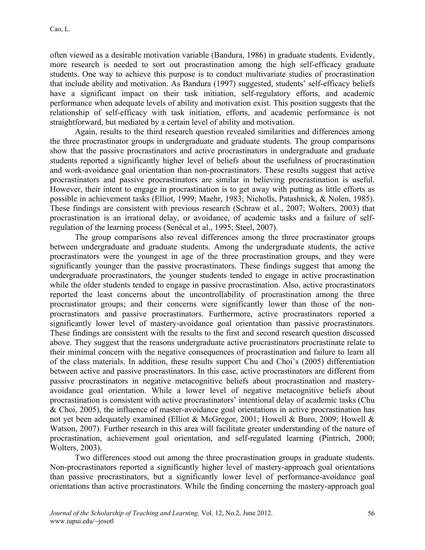often viewed as a desirable motivation variable (Bandura, 1986) in graduate students. Evidently, more research is needed to sort out procrastination among the high self-efficacy graduate students. One way to achieve this purpose is to conduct multivariate studies of procrastination that include ability and motivation. As Bandura (1997) suggested, students' self-efficacy beliefs have a significant impact on their task initiation, self-regulatory efforts, and academic performance when adequate levels of ability and motivation exist. This position suggests that the relationship of self-efficacy with task initiation, efforts, and academic performance is not straightforward, but mediated by a certain level of ability and motivation.

Again, results to the third research question revealed similarities and differences among the three procrastinator groups in undergraduate and graduate students. The group comparisons show that the passive procrastinators and active procrastinators in undergraduate and graduate students reported a significantly higher level of beliefs about the usefulness of procrastination and work-avoidance goal orientation than non-procrastinators. These results suggest that active procrastinators and passive procrastinators are similar in believing procrastination is useful. However, their intent to engage in procrastination is to get away with putting as little efforts as possible in achievement tasks (Elliot, 1999; Maehr, 1983; Nicholls, Patashnick, & Nolen, 1985). These findings are consistent with previous research (Schraw et al., 2007; Wolters, 2003) that procrastination is an irrational delay, or avoidance, of academic tasks and a failure of selfregulation of the learning process (Senécal et al., 1995; Steel, 2007).

The group comparisons also reveal differences among the three procrastinator groups between undergraduate and graduate students. Among the undergraduate students, the active procrastinators were the youngest in age of the three procrastination groups, and they were significantly younger than the passive procrastinators. These findings suggest that among the undergraduate procrastinators, the younger students tended to engage in active procrastination while the older students tended to engage in passive procrastination. Also, active procrastinators reported the least concerns about the uncontrollability of procrastination among the three procrastinator groups; and their concerns were significantly lower than those of the nonprocrastinators and passive procrastinators. Furthermore, active procrastinators reported a significantly lower level of mastery-avoidance goal orientation than passive procrastinators. These findings are consistent with the results to the first and second research question discussed above. They suggest that the reasons undergraduate active procrastinators procrastinate relate to their minimal concern with the negative consequences of procrastination and failure to learn all of the class materials. In addition, these results support Chu and Choi's (2005) differentiation between active and passive procrastinators. In this case, active procrastinators are different from passive procrastinators in negative metacognitive beliefs about procrastination and masteryavoidance goal orientation. While a lower level of negative metacognitive beliefs about procrastination is consistent with active procrastinators' intentional delay of academic tasks (Chu & Choi, 2005), the influence of master-avoidance goal orientations in active procrastination has not yet been adequately examined (Elliot & McGregor, 2001; Howell & Buro, 2009; Howell & Watson, 2007). Further research in this area will facilitate greater understanding of the nature of procrastination, achievement goal orientation, and self-regulated learning (Pintrich, 2000; Wolters, 2003).

Two differences stood out among the three procrastination groups in graduate students. Non-procrastinators reported a significantly higher level of mastery-approach goal orientations than passive procrastinators, but a significantly lower level of performance-avoidance goal orientations than active procrastinators. While the finding concerning the mastery-approach goal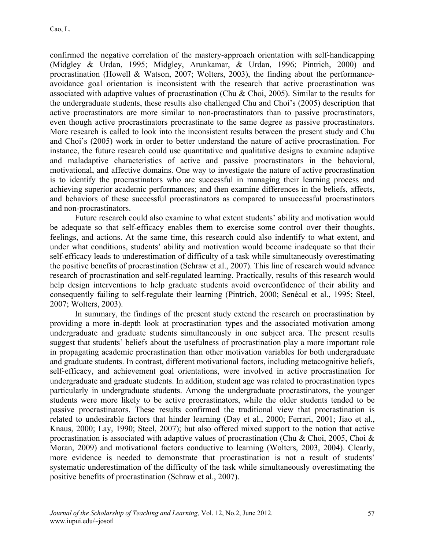confirmed the negative correlation of the mastery-approach orientation with self-handicapping (Midgley & Urdan, 1995; Midgley, Arunkamar, & Urdan, 1996; Pintrich, 2000) and procrastination (Howell & Watson, 2007; Wolters, 2003), the finding about the performanceavoidance goal orientation is inconsistent with the research that active procrastination was associated with adaptive values of procrastination (Chu & Choi, 2005). Similar to the results for the undergraduate students, these results also challenged Chu and Choi's (2005) description that active procrastinators are more similar to non-procrastinators than to passive procrastinators, even though active procrastinators procrastinate to the same degree as passive procrastinators. More research is called to look into the inconsistent results between the present study and Chu and Choi's (2005) work in order to better understand the nature of active procrastination. For instance, the future research could use quantitative and qualitative designs to examine adaptive and maladaptive characteristics of active and passive procrastinators in the behavioral, motivational, and affective domains. One way to investigate the nature of active procrastination is to identify the procrastinators who are successful in managing their learning process and achieving superior academic performances; and then examine differences in the beliefs, affects, and behaviors of these successful procrastinators as compared to unsuccessful procrastinators and non-procrastinators.

Future research could also examine to what extent students' ability and motivation would be adequate so that self-efficacy enables them to exercise some control over their thoughts, feelings, and actions. At the same time, this research could also indentify to what extent, and under what conditions, students' ability and motivation would become inadequate so that their self-efficacy leads to underestimation of difficulty of a task while simultaneously overestimating the positive benefits of procrastination (Schraw et al., 2007). This line of research would advance research of procrastination and self-regulated learning. Practically, results of this research would help design interventions to help graduate students avoid overconfidence of their ability and consequently failing to self-regulate their learning (Pintrich, 2000; Senécal et al., 1995; Steel, 2007; Wolters, 2003).

In summary, the findings of the present study extend the research on procrastination by providing a more in-depth look at procrastination types and the associated motivation among undergraduate and graduate students simultaneously in one subject area. The present results suggest that students' beliefs about the usefulness of procrastination play a more important role in propagating academic procrastination than other motivation variables for both undergraduate and graduate students. In contrast, different motivational factors, including metacognitive beliefs, self-efficacy, and achievement goal orientations, were involved in active procrastination for undergraduate and graduate students. In addition, student age was related to procrastination types particularly in undergraduate students. Among the undergraduate procrastinators, the younger students were more likely to be active procrastinators, while the older students tended to be passive procrastinators. These results confirmed the traditional view that procrastination is related to undesirable factors that hinder learning (Day et al., 2000; Ferrari, 2001; Jiao et al., Knaus, 2000; Lay, 1990; Steel, 2007); but also offered mixed support to the notion that active procrastination is associated with adaptive values of procrastination (Chu & Choi, 2005, Choi & Moran, 2009) and motivational factors conductive to learning (Wolters, 2003, 2004). Clearly, more evidence is needed to demonstrate that procrastination is not a result of students' systematic underestimation of the difficulty of the task while simultaneously overestimating the positive benefits of procrastination (Schraw et al., 2007).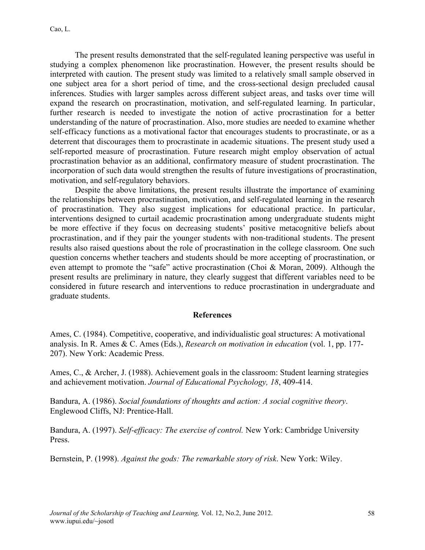The present results demonstrated that the self-regulated leaning perspective was useful in studying a complex phenomenon like procrastination. However, the present results should be interpreted with caution. The present study was limited to a relatively small sample observed in one subject area for a short period of time, and the cross-sectional design precluded causal inferences. Studies with larger samples across different subject areas, and tasks over time will expand the research on procrastination, motivation, and self-regulated learning. In particular, further research is needed to investigate the notion of active procrastination for a better understanding of the nature of procrastination. Also, more studies are needed to examine whether self-efficacy functions as a motivational factor that encourages students to procrastinate, or as a deterrent that discourages them to procrastinate in academic situations. The present study used a self-reported measure of procrastination. Future research might employ observation of actual procrastination behavior as an additional, confirmatory measure of student procrastination. The incorporation of such data would strengthen the results of future investigations of procrastination, motivation, and self-regulatory behaviors.

Despite the above limitations, the present results illustrate the importance of examining the relationships between procrastination, motivation, and self-regulated learning in the research of procrastination. They also suggest implications for educational practice. In particular, interventions designed to curtail academic procrastination among undergraduate students might be more effective if they focus on decreasing students' positive metacognitive beliefs about procrastination, and if they pair the younger students with non-traditional students. The present results also raised questions about the role of procrastination in the college classroom. One such question concerns whether teachers and students should be more accepting of procrastination, or even attempt to promote the "safe" active procrastination (Choi & Moran, 2009). Although the present results are preliminary in nature, they clearly suggest that different variables need to be considered in future research and interventions to reduce procrastination in undergraduate and graduate students.

### **References**

Ames, C. (1984). Competitive, cooperative, and individualistic goal structures: A motivational analysis. In R. Ames & C. Ames (Eds.), *Research on motivation in education* (vol. 1, pp. 177- 207). New York: Academic Press.

Ames, C., & Archer, J. (1988). Achievement goals in the classroom: Student learning strategies and achievement motivation. *Journal of Educational Psychology, 18*, 409-414.

Bandura, A. (1986). *Social foundations of thoughts and action: A social cognitive theory*. Englewood Cliffs, NJ: Prentice-Hall.

Bandura, A. (1997). *Self-efficacy: The exercise of control.* New York: Cambridge University Press.

Bernstein, P. (1998). *Against the gods: The remarkable story of risk*. New York: Wiley.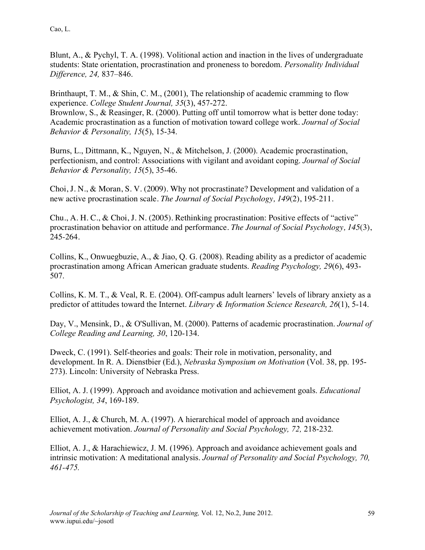Blunt, A., & Pychyl, T. A. (1998). Volitional action and inaction in the lives of undergraduate students: State orientation, procrastination and proneness to boredom. *Personality Individual Difference, 24,* 837–846.

Brinthaupt, T. M., & Shin, C. M., (2001). The relationship of academic cramming to flow experience. *College Student Journal, 35*(3), 457-272.

Brownlow, S., & Reasinger, R. (2000). Putting off until tomorrow what is better done today: Academic procrastination as a function of motivation toward college work. *Journal of Social Behavior & Personality, 15*(5), 15-34.

Burns, L., Dittmann, K., Nguyen, N., & Mitchelson, J. (2000). Academic procrastination, perfectionism, and control: Associations with vigilant and avoidant coping. *Journal of Social Behavior & Personality, 15*(5), 35-46.

Choi, J. N., & Moran, S. V. (2009). Why not procrastinate? Development and validation of a new active procrastination scale. *The Journal of Social Psychology, 149*(2), 195-211.

Chu., A. H. C., & Choi, J. N. (2005). Rethinking procrastination: Positive effects of "active" procrastination behavior on attitude and performance. *The Journal of Social Psychology, 145*(3), 245-264.

Collins, K., Onwuegbuzie, A., & Jiao, Q. G. (2008). Reading ability as a predictor of academic procrastination among African American graduate students. *Reading Psychology, 29*(6), 493- 507.

Collins, K. M. T., & Veal, R. E. (2004). Off-campus adult learners' levels of library anxiety as a predictor of attitudes toward the Internet. *Library & Information Science Research, 26*(1), 5-14.

Day, V., Mensink, D., & O'Sullivan, M. (2000). Patterns of academic procrastination. *Journal of College Reading and Learning, 30*, 120-134.

Dweck, C. (1991). Self-theories and goals: Their role in motivation, personality, and development. In R. A. Dienstbier (Ed.), *Nebraska Symposium on Motivation* (Vol. 38, pp. 195- 273). Lincoln: University of Nebraska Press.

Elliot, A. J. (1999). Approach and avoidance motivation and achievement goals. *Educational Psychologist, 34*, 169-189.

Elliot, A. J., & Church, M. A. (1997). A hierarchical model of approach and avoidance achievement motivation. *Journal of Personality and Social Psychology, 72,* 218-232*.*

Elliot, A. J., & Harachiewicz, J. M. (1996). Approach and avoidance achievement goals and intrinsic motivation: A meditational analysis. *Journal of Personality and Social Psychology, 70, 461-475.*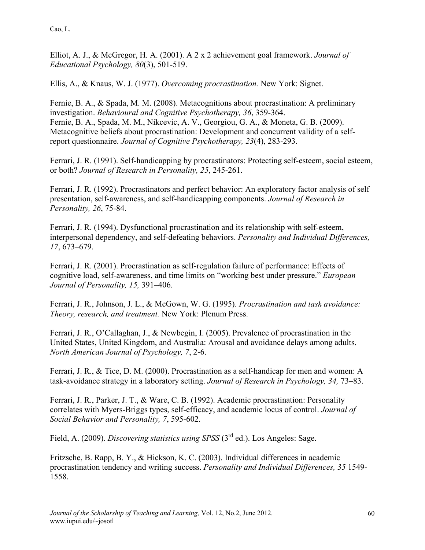Elliot, A. J., & McGregor, H. A. (2001). A 2 x 2 achievement goal framework. *Journal of Educational Psychology, 80*(3), 501-519.

Ellis, A., & Knaus, W. J. (1977). *Overcoming procrastination.* New York: Signet.

Fernie, B. A., & Spada, M. M. (2008). Metacognitions about procrastination: A preliminary investigation. *Behavioural and Cognitive Psychotherapy, 36*, 359-364. Fernie, B. A., Spada, M. M., Nikcevic, A. V., Georgiou, G. A., & Moneta, G. B. (2009). Metacognitive beliefs about procrastination: Development and concurrent validity of a selfreport questionnaire. *Journal of Cognitive Psychotherapy, 23*(4), 283-293.

Ferrari, J. R. (1991). Self-handicapping by procrastinators: Protecting self-esteem, social esteem, or both? *Journal of Research in Personality, 25*, 245-261.

Ferrari, J. R. (1992). Procrastinators and perfect behavior: An exploratory factor analysis of self presentation, self-awareness, and self-handicapping components. *Journal of Research in Personality, 26*, 75-84.

Ferrari, J. R. (1994). Dysfunctional procrastination and its relationship with self-esteem, interpersonal dependency, and self-defeating behaviors. *Personality and Individual Differences, 17*, 673–679.

Ferrari, J. R. (2001). Procrastination as self-regulation failure of performance: Effects of cognitive load, self-awareness, and time limits on "working best under pressure." *European Journal of Personality, 15,* 391–406.

Ferrari, J. R., Johnson, J. L., & McGown, W. G. (1995)*. Procrastination and task avoidance: Theory, research, and treatment.* New York: Plenum Press.

Ferrari, J. R., O'Callaghan, J., & Newbegin, I. (2005). Prevalence of procrastination in the United States, United Kingdom, and Australia: Arousal and avoidance delays among adults. *North American Journal of Psychology, 7*, 2-6.

Ferrari, J. R., & Tice, D. M. (2000). Procrastination as a self-handicap for men and women: A task-avoidance strategy in a laboratory setting. *Journal of Research in Psychology, 34,* 73–83.

Ferrari, J. R., Parker, J. T., & Ware, C. B. (1992). Academic procrastination: Personality correlates with Myers-Briggs types, self-efficacy, and academic locus of control. *Journal of Social Behavior and Personality, 7*, 595-602.

Field, A. (2009). *Discovering statistics using SPSS* (3rd ed.). Los Angeles: Sage.

Fritzsche, B. Rapp, B. Y., & Hickson, K. C. (2003). Individual differences in academic procrastination tendency and writing success. *Personality and Individual Differences, 35* 1549- 1558.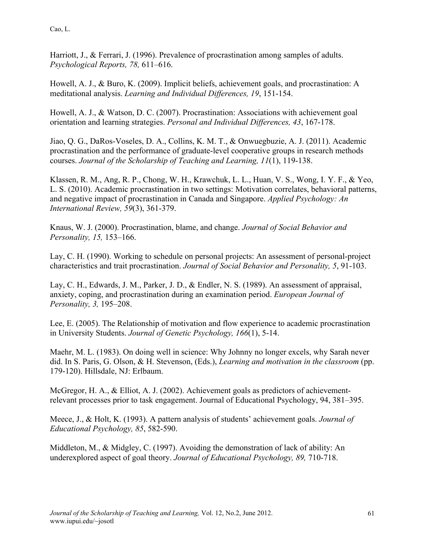Harriott, J., & Ferrari, J. (1996). Prevalence of procrastination among samples of adults. *Psychological Reports, 78,* 611–616.

Howell, A. J., & Buro, K. (2009). Implicit beliefs, achievement goals, and procrastination: A meditational analysis. *Learning and Individual Differences, 19*, 151-154.

Howell, A. J., & Watson, D. C. (2007). Procrastination: Associations with achievement goal orientation and learning strategies. *Personal and Individual Differences, 43*, 167-178.

Jiao, Q. G., DaRos-Voseles, D. A., Collins, K. M. T., & Onwuegbuzie, A. J. (2011). Academic procrastination and the performance of graduate-level cooperative groups in research methods courses. *Journal of the Scholarship of Teaching and Learning, 11*(1), 119-138.

Klassen, R. M., Ang, R. P., Chong, W. H., Krawchuk, L. L., Huan, V. S., Wong, I. Y. F., & Yeo, L. S. (2010). Academic procrastination in two settings: Motivation correlates, behavioral patterns, and negative impact of procrastination in Canada and Singapore. *Applied Psychology: An International Review, 59*(3), 361-379.

Knaus, W. J. (2000). Procrastination, blame, and change. *Journal of Social Behavior and Personality, 15,* 153–166.

Lay, C. H. (1990). Working to schedule on personal projects: An assessment of personal-project characteristics and trait procrastination. *Journal of Social Behavior and Personality, 5*, 91-103.

Lay, C. H., Edwards, J. M., Parker, J. D., & Endler, N. S. (1989). An assessment of appraisal, anxiety, coping, and procrastination during an examination period. *European Journal of Personality, 3,* 195–208.

Lee, E. (2005). The Relationship of motivation and flow experience to academic procrastination in University Students. *Journal of Genetic Psychology, 166*(1), 5-14.

Maehr, M. L. (1983). On doing well in science: Why Johnny no longer excels, why Sarah never did. In S. Paris, G. Olson, & H. Stevenson, (Eds.), *Learning and motivation in the classroom* (pp. 179-120). Hillsdale, NJ: Erlbaum.

McGregor, H. A., & Elliot, A. J. (2002). Achievement goals as predictors of achievementrelevant processes prior to task engagement. Journal of Educational Psychology, 94, 381–395.

Meece, J., & Holt, K. (1993). A pattern analysis of students' achievement goals. *Journal of Educational Psychology, 85*, 582-590.

Middleton, M., & Midgley, C. (1997). Avoiding the demonstration of lack of ability: An underexplored aspect of goal theory. *Journal of Educational Psychology, 89,* 710-718.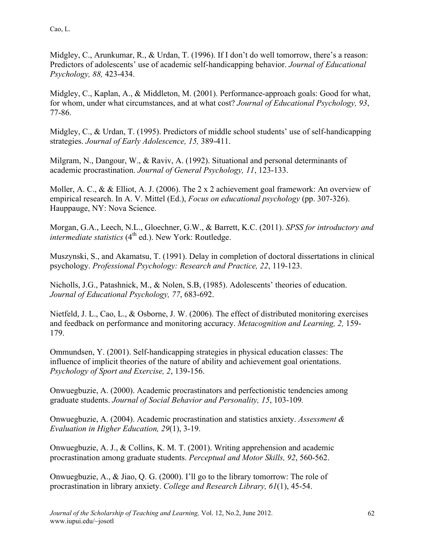Midgley, C., Arunkumar, R., & Urdan, T. (1996). If I don't do well tomorrow, there's a reason: Predictors of adolescents' use of academic self-handicapping behavior. *Journal of Educational Psychology, 88,* 423-434.

Midgley, C., Kaplan, A., & Middleton, M. (2001). Performance-approach goals: Good for what, for whom, under what circumstances, and at what cost? *Journal of Educational Psychology, 93*, 77-86.

Midgley, C., & Urdan, T. (1995). Predictors of middle school students' use of self-handicapping strategies. *Journal of Early Adolescence, 15,* 389-411.

Milgram, N., Dangour, W., & Raviv, A. (1992). Situational and personal determinants of academic procrastination. *Journal of General Psychology, 11*, 123-133.

Moller, A. C., & & Elliot, A. J. (2006). The 2 x 2 achievement goal framework: An overview of empirical research. In A. V. Mittel (Ed.), *Focus on educational psychology* (pp. 307-326). Hauppauge, NY: Nova Science.

Morgan, G.A., Leech, N.L., Gloechner, G.W., & Barrett, K.C. (2011). *SPSS for introductory and intermediate statistics*  $(4<sup>th</sup>$  ed.). New York: Routledge.

Muszynski, S., and Akamatsu, T. (1991). Delay in completion of doctoral dissertations in clinical psychology. *Professional Psychology: Research and Practice, 22*, 119-123.

Nicholls, J.G., Patashnick, M., & Nolen, S.B, (1985). Adolescents' theories of education. *Journal of Educational Psychology, 77*, 683-692.

Nietfeld, J. L., Cao, L., & Osborne, J. W. (2006). The effect of distributed monitoring exercises and feedback on performance and monitoring accuracy. *Metacognition and Learning, 2,* 159- 179.

Ommundsen, Y. (2001). Self-handicapping strategies in physical education classes: The influence of implicit theories of the nature of ability and achievement goal orientations. *Psychology of Sport and Exercise, 2*, 139-156.

Onwuegbuzie, A. (2000). Academic procrastinators and perfectionistic tendencies among graduate students. *Journal of Social Behavior and Personality, 15*, 103-109*.*

Onwuegbuzie, A. (2004). Academic procrastination and statistics anxiety. *Assessment & Evaluation in Higher Education, 29*(1), 3-19.

Onwuegbuzie, A. J., & Collins, K. M. T. (2001). Writing apprehension and academic procrastination among graduate students. *Perceptual and Motor Skills, 92*, 560-562.

Onwuegbuzie, A., & Jiao, Q. G. (2000). I'll go to the library tomorrow: The role of procrastination in library anxiety. *College and Research Library, 61*(1), 45-54.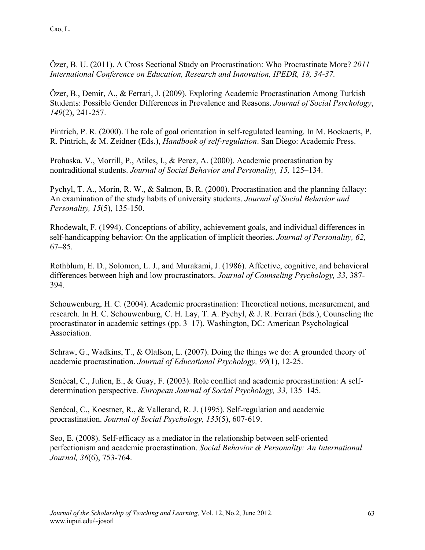Özer, B. U. (2011). A Cross Sectional Study on Procrastination: Who Procrastinate More? *2011 International Conference on Education, Research and Innovation, IPEDR, 18, 34-37.* 

Özer, B., Demir, A., & Ferrari, J. (2009). Exploring Academic Procrastination Among Turkish Students: Possible Gender Differences in Prevalence and Reasons. *Journal of Social Psychology*, *149*(2), 241-257.

Pintrich, P. R. (2000). The role of goal orientation in self-regulated learning. In M. Boekaerts, P. R. Pintrich, & M. Zeidner (Eds.), *Handbook of self-regulation*. San Diego: Academic Press.

Prohaska, V., Morrill, P., Atiles, I., & Perez, A. (2000). Academic procrastination by nontraditional students. *Journal of Social Behavior and Personality, 15,* 125–134.

Pychyl, T. A., Morin, R. W., & Salmon, B. R. (2000). Procrastination and the planning fallacy: An examination of the study habits of university students. *Journal of Social Behavior and Personality, 15*(5), 135-150.

Rhodewalt, F. (1994). Conceptions of ability, achievement goals, and individual differences in self-handicapping behavior: On the application of implicit theories. *Journal of Personality, 62,*  67–85.

Rothblum, E. D., Solomon, L. J., and Murakami, J. (1986). Affective, cognitive, and behavioral differences between high and low procrastinators. *Journal of Counseling Psychology, 33*, 387- 394.

Schouwenburg, H. C. (2004). Academic procrastination: Theoretical notions, measurement, and research. In H. C. Schouwenburg, C. H. Lay, T. A. Pychyl, & J. R. Ferrari (Eds.), Counseling the procrastinator in academic settings (pp. 3–17). Washington, DC: American Psychological Association.

Schraw, G., Wadkins, T., & Olafson, L. (2007). Doing the things we do: A grounded theory of academic procrastination. *Journal of Educational Psychology, 99*(1), 12-25.

Senécal, C., Julien, E., & Guay, F. (2003). Role conflict and academic procrastination: A selfdetermination perspective. *European Journal of Social Psychology, 33,* 135–145.

Senécal, C., Koestner, R., & Vallerand, R. J. (1995). Self-regulation and academic procrastination. *Journal of Social Psychology, 135*(5), 607-619.

Seo, E. (2008). Self-efficacy as a mediator in the relationship between self-oriented perfectionism and academic procrastination. *Social Behavior & Personality: An International Journal, 36*(6), 753-764.